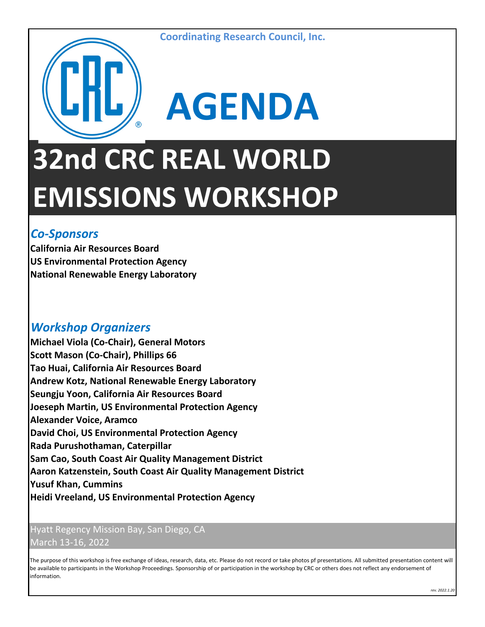

## **AGENDA 32nd CRC REAL WORLD EMISSIONS WORKSHOP**

## *Co-Sponsors*

**California Air Resources Board US Environmental Protection Agency National Renewable Energy Laboratory**

## *Workshop Organizers*

**Michael Viola (Co-Chair), General Motors Scott Mason (Co-Chair), Phillips 66 Tao Huai, California Air Resources Board Andrew Kotz, National Renewable Energy Laboratory Seungju Yoon, California Air Resources Board Joeseph Martin, US Environmental Protection Agency Alexander Voice, Aramco David Choi, US Environmental Protection Agency Rada Purushothaman, Caterpillar Sam Cao, South Coast Air Quality Management District**

## **Aaron Katzenstein, South Coast Air Quality Management District Yusuf Khan, Cummins Heidi Vreeland, US Environmental Protection Agency**

Hyatt Regency Mission Bay, San Diego, CA March 13-16, 2022

The purpose of this workshop is free exchange of ideas, research, data, etc. Please do not record or take photos pf presentations. All submitted presentation content will be available to participants in the Workshop Proceedings. Sponsorship of or participation in the workshop by CRC or others does not reflect any endorsement of information.

*rev. 2022.1.20*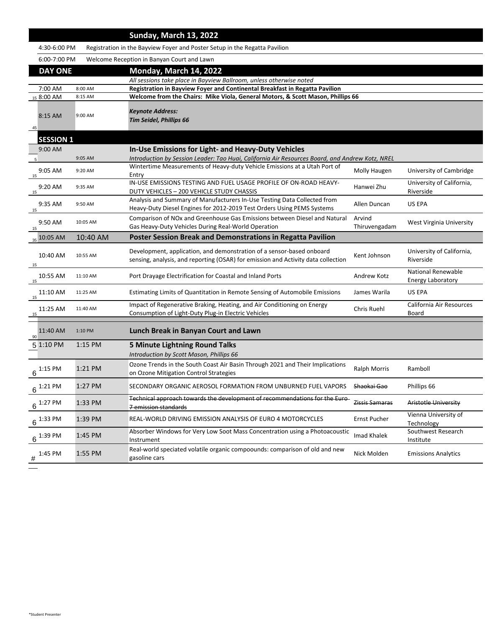|                  |           | <b>Sunday, March 13, 2022</b>                                                                                                                                 |                        |                                    |
|------------------|-----------|---------------------------------------------------------------------------------------------------------------------------------------------------------------|------------------------|------------------------------------|
| 4:30-6:00 PM     |           | Registration in the Bayview Foyer and Poster Setup in the Regatta Pavilion                                                                                    |                        |                                    |
| 6:00-7:00 PM     |           | Welcome Reception in Banyan Court and Lawn                                                                                                                    |                        |                                    |
| <b>DAY ONE</b>   |           | <b>Monday, March 14, 2022</b>                                                                                                                                 |                        |                                    |
|                  |           | All sessions take place in Bayview Ballroom, unless otherwise noted                                                                                           |                        |                                    |
| $7:00$ AM        | 8:00 AM   | <b>Registration in Bayview Foyer and Continental Breakfast in Regatta Pavilion</b>                                                                            |                        |                                    |
| 15 8:00 AM       | 8:15 AM   | Welcome from the Chairs: Mike Viola, General Motors, & Scott Mason, Phillips 66                                                                               |                        |                                    |
| 8:15 AM          | 9:00 AM   | <b>Keynote Address:</b>                                                                                                                                       |                        |                                    |
|                  |           | <b>Tim Seidel, Phillips 66</b>                                                                                                                                |                        |                                    |
| 45               |           |                                                                                                                                                               |                        |                                    |
| <b>SESSION 1</b> |           |                                                                                                                                                               |                        |                                    |
| 9:00 AM          | 9:05 AM   | <b>In-Use Emissions for Light- and Heavy-Duty Vehicles</b><br>Introduction by Session Leader: Tao Huai, California Air Resources Board, and Andrew Kotz, NREL |                        |                                    |
|                  |           | Wintertime Measurements of Heavy-duty Vehicle Emissions at a Utah Port of                                                                                     |                        |                                    |
| 9:05 AM<br>15    | 9:20 AM   | Entry                                                                                                                                                         | <b>Molly Haugen</b>    | University of Cambridge            |
| $9:20$ AM        | 9:35 AM   | IN-USE EMISSIONS TESTING AND FUEL USAGE PROFILE OF ON-ROAD HEAVY-                                                                                             | Hanwei Zhu             | University of California,          |
| 15               |           | DUTY VEHICLES - 200 VEHICLE STUDY CHASSIS                                                                                                                     |                        | Riverside                          |
| $9:35$ AM        | 9:50 AM   | Analysis and Summary of Manufacturers In-Use Testing Data Collected from<br>Heavy-Duty Diesel Engines for 2012-2019 Test Orders Using PEMS Systems            | Allen Duncan           | US EPA                             |
| 15               |           | Comparison of NO <sub>x</sub> and Greenhouse Gas Emissions between Diesel and Natural                                                                         | Arvind                 |                                    |
| 9:50 AM<br>15    | 10:05 AM  | Gas Heavy-Duty Vehicles During Real-World Operation                                                                                                           | Thiruvengadam          | <b>West Virginia University</b>    |
| $_{35}$ 10:05 AM | 10:40 AM  | <b>Poster Session Break and Demonstrations in Regatta Pavilion</b>                                                                                            |                        |                                    |
|                  |           | Development, application, and demonstration of a sensor-based onboard                                                                                         |                        | University of California,          |
| 10:40 AM         | 10:55 AM  | sensing, analysis, and reporting (OSAR) for emission and Activity data collection                                                                             | Kent Johnson           | Riverside                          |
| 15               |           |                                                                                                                                                               |                        | <b>National Renewable</b>          |
| 10:55 AM<br>15   | 11:10 AM  | Port Drayage Electrification for Coastal and Inland Ports                                                                                                     | <b>Andrew Kotz</b>     | <b>Energy Laboratory</b>           |
| $11:10$ AM       |           | Estimating Limits of Quantitation in Remote Sensing of Automobile Emissions                                                                                   | James Warila           | US EPA                             |
|                  | 11:25 AM  |                                                                                                                                                               |                        |                                    |
| 15               |           | Impact of Regenerative Braking, Heating, and Air Conditioning on Energy                                                                                       |                        | <b>California Air Resources</b>    |
| 11:25 AM<br>15   | 11:40 AM  | Consumption of Light-Duty Plug-in Electric Vehicles                                                                                                           | <b>Chris Ruehl</b>     | <b>Board</b>                       |
| 11:40 AM         | 1:10 PM   | Lunch Break in Banyan Court and Lawn                                                                                                                          |                        |                                    |
| 90<br>5 1:10 PM  | $1:15$ PM |                                                                                                                                                               |                        |                                    |
|                  |           | <b>5 Minute Lightning Round Talks</b><br>Introduction by Scott Mason, Phillips 66                                                                             |                        |                                    |
|                  |           | Ozone Trends in the South Coast Air Basin Through 2021 and Their Implications                                                                                 |                        |                                    |
| :15 PM<br>6      | 1:21 PM   | on Ozone Mitigation Control Strategies                                                                                                                        | <b>Ralph Morris</b>    | Ramboll                            |
| $6^{1:21}$ PM    | $1:27$ PM | SECONDARY ORGANIC AEROSOL FORMATION FROM UNBURNED FUEL VAPORS                                                                                                 | <del>Shaokai Gao</del> | Phillips 66                        |
| $1:27$ PM        | 1:33 PM   | Technical approach towards the development of recommendations for the Euro-<br>7 emission standards                                                           | Zissis Samaras         | <b>Aristotle University</b>        |
| :33 PM           | $1:39$ PM | REAL-WORLD DRIVING EMISSION ANALYSIS OF EURO 4 MOTORCYCLES                                                                                                    | <b>Ernst Pucher</b>    | Vienna University of<br>Technology |
| $1:39$ PM        | 1:45 PM   | Absorber Windows for Very Low Soot Mass Concentration using a Photoacoustic                                                                                   | Imad Khalek            | Southwest Research                 |
|                  |           | Instrument                                                                                                                                                    |                        | Institute                          |
| 1:45 PM<br>#     | 1:55 PM   | Real-world speciated volatile organic compoounds: comparison of old and new<br>gasoline cars                                                                  | Nick Molden            | <b>Emissions Analytics</b>         |

 $\overline{\phantom{a}}$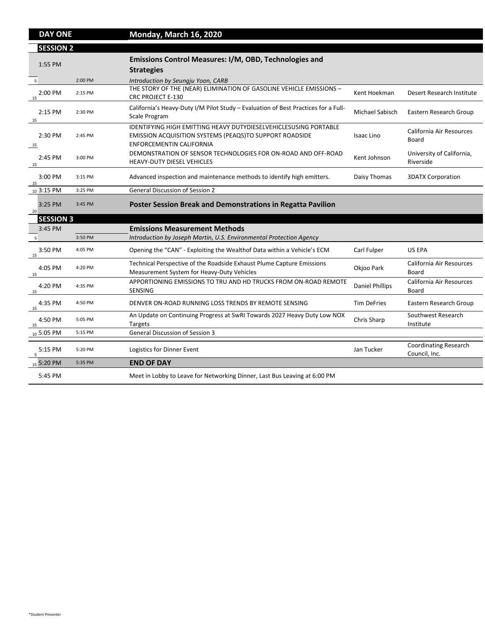| <b>DAY ONE</b>    |         | <b>Monday, March 16, 2020</b>                                                                                                                                                |                        |                                                 |
|-------------------|---------|------------------------------------------------------------------------------------------------------------------------------------------------------------------------------|------------------------|-------------------------------------------------|
| <b>SESSION 2</b>  |         |                                                                                                                                                                              |                        |                                                 |
| 1:55 PM           |         | <b>Emissions Control Measures: I/M, OBD, Technologies and</b><br><b>Strategies</b>                                                                                           |                        |                                                 |
| $5\overline{5}$   | 2:00 PM | Introduction by Seungju Yoon, CARB                                                                                                                                           |                        |                                                 |
| $2:00$ PM<br>15   | 2:15 PM | THE STORY OF THE (NEAR) ELIMINATION OF GASOLINE VEHICLE EMISSIONS -<br><b>CRC PROJECT E-130</b>                                                                              | Kent Hoekman           | Desert Research Institute                       |
| $2:15$ PM<br>- 15 | 2:30 PM | California's Heavy-Duty I/M Pilot Study – Evaluation of Best Practices for a Full-<br><b>Scale Program</b>                                                                   | <b>Michael Sabisch</b> | <b>Eastern Research Group</b>                   |
| 2:30 PM           | 2:45 PM | <b>IDENTIFYING HIGH EMITTING HEAVY DUTYDIESELVEHICLESUSING PORTABLE</b><br><b>EMISSION ACQUISITION SYSTEMS (PEAQS)TO SUPPORT ROADSIDE</b><br><b>ENFORCEMENTIN CALIFORNIA</b> | <b>Isaac Lino</b>      | <b>California Air Resources</b><br><b>Board</b> |
| $2:45$ PM<br>15   | 3:00 PM | DEMONSTRATION OF SENSOR TECHNOLOGIES FOR ON-ROAD AND OFF-ROAD<br><b>HEAVY-DUTY DIESEL VEHICLES</b>                                                                           | Kent Johnson           | University of California,<br>Riverside          |
| 3:00 PM<br>15     | 3:15 PM | Advanced inspection and maintenance methods to identify high emitters.                                                                                                       | Daisy Thomas           | <b>3DATX Corporation</b>                        |
| $10\,3:15\,$ PM   | 3:25 PM | <b>General Discussion of Session 2</b>                                                                                                                                       |                        |                                                 |
| 3:25 PM<br>20     | 3:45 PM | <b>Poster Session Break and Demonstrations in Regatta Pavilion</b>                                                                                                           |                        |                                                 |
| <b>SESSION 3</b>  |         |                                                                                                                                                                              |                        |                                                 |
| 3:45 PM           |         | <b>Emissions Measurement Methods</b>                                                                                                                                         |                        |                                                 |
|                   | 3:50 PM | Introduction by Joseph Martin, U.S. Environmental Protection Agency                                                                                                          |                        |                                                 |
| 3:50 PM<br>15     | 4:05 PM | Opening the "CAN" - Exploiting the Wealthof Data within a Vehicle's ECM                                                                                                      | Carl Fulper            | US EPA                                          |
| 4:05 PM<br>15     | 4:20 PM | Technical Perspective of the Roadside Exhaust Plume Capture Emissions<br>Measurement System for Heavy-Duty Vehicles                                                          | Okjoo Park             | California Air Resources<br><b>Board</b>        |
| 4:20 PM<br>15     | 4:35 PM | APPORTIONING EMISSIONS TO TRU AND HD TRUCKS FROM ON-ROAD REMOTE<br><b>SENSING</b>                                                                                            | <b>Daniel Phillips</b> | <b>California Air Resources</b><br><b>Board</b> |
| 4:35 PM<br>15     | 4:50 PM | DENVER ON-ROAD RUNNING LOSS TRENDS BY REMOTE SENSING                                                                                                                         | <b>Tim DeFries</b>     | Eastern Research Group                          |
| 4:50 PM<br>15     | 5:05 PM | An Update on Continuing Progress at SwRI Towards 2027 Heavy Duty Low NOX<br><b>Targets</b>                                                                                   | <b>Chris Sharp</b>     | Southwest Research<br>Institute                 |
| $_{10}$ 5:05 PM   | 5:15 PM | <b>General Discussion of Session 3</b>                                                                                                                                       |                        |                                                 |
| $5:15$ PM         | 5:20 PM | Logistics for Dinner Event                                                                                                                                                   | Jan Tucker             | <b>Coordinating Research</b><br>Council, Inc.   |
| $_{15}$ 5:20 PM   | 5:35 PM | <b>END OF DAY</b>                                                                                                                                                            |                        |                                                 |
| 5:45 PM           |         | Meet in Lobby to Leave for Networking Dinner, Last Bus Leaving at 6:00 PM                                                                                                    |                        |                                                 |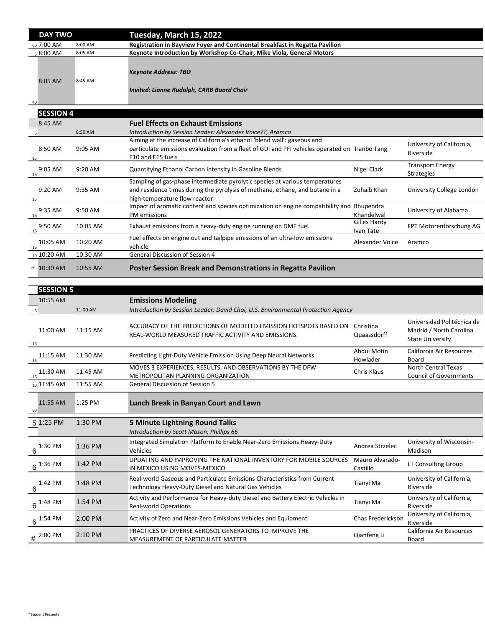| <b>DAY TWO</b>       |           | Tuesday, March 15, 2022                                                                                                                                                                        |                                  |                                              |
|----------------------|-----------|------------------------------------------------------------------------------------------------------------------------------------------------------------------------------------------------|----------------------------------|----------------------------------------------|
| 60 7:00 AM           | 8:00 AM   | <b>Registration in Bayview Foyer and Continental Breakfast in Regatta Pavilion</b>                                                                                                             |                                  |                                              |
| <sub>5</sub> 8:00 AM | 8:05 AM   | <b>Keynote Introduction by Workshop Co-Chair, Mike Viola, General Motors</b>                                                                                                                   |                                  |                                              |
| 8:05 AM<br>40        | 8:45 AM   | <b>Keynote Address: TBD</b><br><b>Invited: Lianne Rudolph, CARB Board Chair</b>                                                                                                                |                                  |                                              |
|                      |           |                                                                                                                                                                                                |                                  |                                              |
| <b>SESSION 4</b>     |           |                                                                                                                                                                                                |                                  |                                              |
| 8:45 AM              |           | <b>Fuel Effects on Exhaust Emissions</b>                                                                                                                                                       |                                  |                                              |
|                      | 8:50 AM   | Introduction by Session Leader: Alexander Voice??, Aramco                                                                                                                                      |                                  |                                              |
| 8:50 AM<br>15        | $9:05$ AM | Aiming at the increase of California's ethanol 'blend wall': gaseous and<br>particulate emissions evaluation from a fleet of GDI and PFI vehicles operated on Tianbo Tang<br>E10 and E15 fuels |                                  | University of California,<br>Riverside       |
| $9:05$ AM<br>15      | $9:20$ AM | Quantifying Ethanol Carbon Intensity in Gasoline Blends                                                                                                                                        | Nigel Clark                      | <b>Transport Energy</b><br><b>Strategies</b> |
| 9:20 AM<br>15        | $9:35$ AM | Sampling of gas-phase intermediate pyrolytic species at various temperatures<br>and residence times during the pyrolysis of methane, ethane, and butane in a<br>high-temperature flow reactor  | Zuhaib Khan                      | University College London                    |
| $9:35$ AM<br>15      | 9:50 AM   | Impact of aromatic content and species optimization on engine compatibility and<br>PM emissions                                                                                                | <b>Bhupendra</b><br>Khandelwal   | University of Alabama                        |
| 9:50 AM<br>15        | 10:05 AM  | Exhaust emissions from a heavy-duty engine running on DME fuel                                                                                                                                 | <b>Gilles Hardy</b><br>Ivan Tate | FPT Motorenforschung AG                      |
| 10:05 AM<br>15       | 10:20 AM  | Fuel effects on engine out and tailpipe emissions of an ultra-low emissions<br>vehicle                                                                                                         | Alexander Voice                  | Aramco                                       |
| $10.10:20$ AM        | 10:30 AM  | <b>General Discussion of Session 4</b>                                                                                                                                                         |                                  |                                              |
| 25 10:30 AM          | 10:55 AM  | <b>Poster Session Break and Demonstrations in Regatta Pavilion</b>                                                                                                                             |                                  |                                              |

| <b>SESSION 5</b>       |                     |                                                                                                                                    |                                |                                                                                  |
|------------------------|---------------------|------------------------------------------------------------------------------------------------------------------------------------|--------------------------------|----------------------------------------------------------------------------------|
| 10:55 AM               |                     | <b>Emissions Modeling</b>                                                                                                          |                                |                                                                                  |
|                        | 11:00 AM            | Introduction by Session Leader: David Choi, U.S. Environmental Protection Agency                                                   |                                |                                                                                  |
| 11:00 AM<br>15         | $11:15$ AM          | ACCURACY OF THE PREDICTIONS OF MODELED EMISSION HOTSPOTS BASED ON<br>REAL-WORLD MEASURED TRAFFIC ACTIVITY AND EMISSIONS.           | Christina<br>Quaassdorff       | Universidad Politécnica de<br>Madrid / North Carolina<br><b>State University</b> |
| $11:15$ AM<br>15       | 11:30 AM            | Predicting Light-Duty Vehicle Emission Using Deep Neural Networks                                                                  | <b>Abdul Motin</b><br>Howlader | <b>California Air Resources</b><br><b>Board</b>                                  |
| 11:30 AM<br>15         | 11:45 AM            | MOVES 3 EXPERIENCES, RESULTS, AND OBSERVATIONS BY THE DFW<br>METROPOLITAN PLANNING ORGANIZATION                                    | <b>Chris Klaus</b>             | <b>North Central Texas</b><br><b>Council of Governments</b>                      |
| $_{10}$ 11:45 AM       | 11:55 AM            | <b>General Discussion of Session 5</b>                                                                                             |                                |                                                                                  |
| 11:55 AM<br>$90 \vert$ | $1:25$ PM           | Lunch Break in Banyan Court and Lawn                                                                                               |                                |                                                                                  |
| 5 1:25 PM              | 1:30 PM             | <b>5 Minute Lightning Round Talks</b>                                                                                              |                                |                                                                                  |
|                        |                     | Introduction by Scott Mason, Phillips 66                                                                                           |                                |                                                                                  |
| 1:30 PM<br>$\mathsf R$ | $1:36$ PM           | Integrated Simulation Platform to Enable Near-Zero Emissions Heavy-Duty<br><b>Vehicles</b>                                         | Andrea Strzelec                | University of Wisconsin-<br>Madison                                              |
| $6^{1:36}$ PM          | $1:42 \, \text{PM}$ | UPDATING AND IMPROVING THE NATIONAL INVENTORY FOR MOBILE SOURCES<br>IN MEXICO USING MOVES-MEXICO                                   | Mauro Alvarado-<br>Castillo    | LT Consulting Group                                                              |
| 1:42 PM<br>6           | 1:48 PM             | Real-world Gaseous and Particulate Emissions Characteristics from Current<br>Technology Heavy-Duty Diesel and Natural Gas Vehicles | Tianyi Ma                      | University of California,<br>Riverside                                           |
| $6^{1:48}$ PM          | $1:54 \, \text{PM}$ | Activity and Performance for Heavy-duty Diesel and Battery Electric Vehicles in<br><b>Real-world Operations</b>                    | Tianyi Ma                      | University of California,<br>Riverside                                           |
| $6^{1:54}$ PM          | 2:00 PM             | Activity of Zero and Near-Zero Emissions Vehicles and Equipment                                                                    | <b>Chas Frederickson</b>       | University of California,<br>Riverside                                           |
| $\#$ 2:00 PM           | $2:10 \text{ PM}$   | PRACTICES OF DIVERSE AEROSOL GENERATORS TO IMPROVE THE<br><b>MEASUREMENT OF PARTICULATE MATTER</b>                                 | Qianfeng Li                    | California Air Resources<br><b>Board</b>                                         |

 $\overline{\phantom{a}}$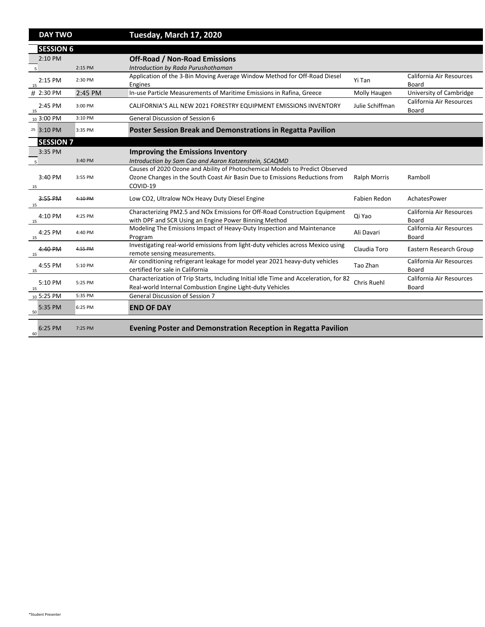| <b>DAY TWO</b>            |           | Tuesday, March 17, 2020                                                                                                                            |                     |                                                 |
|---------------------------|-----------|----------------------------------------------------------------------------------------------------------------------------------------------------|---------------------|-------------------------------------------------|
| <b>SESSION 6</b>          |           |                                                                                                                                                    |                     |                                                 |
| $2:10$ PM                 |           | <b>Off-Road / Non-Road Emissions</b>                                                                                                               |                     |                                                 |
|                           | 2:15 PM   | Introduction by Rada Purushothaman                                                                                                                 |                     |                                                 |
| $2:15$ PM<br>15           | 2:30 PM   | Application of the 3-Bin Moving Average Window Method for Off-Road Diesel<br>Engines                                                               | Yi Tan              | <b>California Air Resources</b><br><b>Board</b> |
| $\# 2:30 \text{ PM}$      | 2:45 PM   | In-use Particle Measurements of Maritime Emissions in Rafina, Greece                                                                               | Molly Haugen        | University of Cambridge                         |
| 2:45 PM<br>15             | 3:00 PM   | CALIFORNIA'S ALL NEW 2021 FORESTRY EQUIPMENT EMISSIONS INVENTORY                                                                                   | Julie Schiffman     | California Air Resources<br><b>Board</b>        |
| $_{10}$ 3:00 PM           | 3:10 PM   | <b>General Discussion of Session 6</b>                                                                                                             |                     |                                                 |
| <sup>25</sup> 3:10 PM     | 3:35 PM   | <b>Poster Session Break and Demonstrations in Regatta Pavilion</b>                                                                                 |                     |                                                 |
| <b>SESSION 7</b>          |           |                                                                                                                                                    |                     |                                                 |
| 3:35 PM                   |           | <b>Improving the Emissions Inventory</b>                                                                                                           |                     |                                                 |
|                           | 3:40 PM   | Introduction by Sam Cao and Aaron Katzenstein, SCAQMD                                                                                              |                     |                                                 |
|                           |           | Causes of 2020 Ozone and Ability of Photochemical Models to Predict Observed                                                                       |                     |                                                 |
| $3:40 \text{ PM}$<br>15   | 3:55 PM   | Ozone Changes in the South Coast Air Basin Due to Emissions Reductions from<br>COVID-19                                                            | <b>Ralph Morris</b> | Ramboll                                         |
| 3:55 PM<br>15             | 4:10 PM   | Low CO2, Ultralow NO <sub>x</sub> Heavy Duty Diesel Engine                                                                                         | <b>Fabien Redon</b> | AchatesPower                                    |
| 4:10 PM<br>15             | 4:25 PM   | Characterizing PM2.5 and NOx Emissions for Off-Road Construction Equipment<br>with DPF and SCR Using an Engine Power Binning Method                | Qi Yao              | <b>California Air Resources</b><br><b>Board</b> |
| 4:25 PM<br>15             | 4:40 PM   | Modeling The Emissions Impact of Heavy-Duty Inspection and Maintenance<br>Program                                                                  | Ali Davari          | <b>California Air Resources</b><br><b>Board</b> |
| $4:40 \, \text{PM}$<br>15 | 4:55 PM   | Investigating real-world emissions from light-duty vehicles across Mexico using<br>remote sensing measurements.                                    | Claudia Toro        | Eastern Research Group                          |
| 4:55 PM<br>15             | 5:10 PM   | Air conditioning refrigerant leakage for model year 2021 heavy-duty vehicles<br>certified for sale in California                                   | Tao Zhan            | California Air Resources<br><b>Board</b>        |
| 5:10 PM<br>15             | 5:25 PM   | Characterization of Trip Starts, Including Initial Idle Time and Acceleration, for 82<br>Real-world Internal Combustion Engine Light-duty Vehicles | <b>Chris Ruehl</b>  | California Air Resources<br><b>Board</b>        |
| $10\,5:25\,$ PM           | 5:35 PM   | <b>General Discussion of Session 7</b>                                                                                                             |                     |                                                 |
| 5:35 PM<br>50             | $6:25$ PM | <b>END OF DAY</b>                                                                                                                                  |                     |                                                 |
|                           |           |                                                                                                                                                    |                     |                                                 |

**Evening Poster and Demonstration Reception in Regatta Pavilion**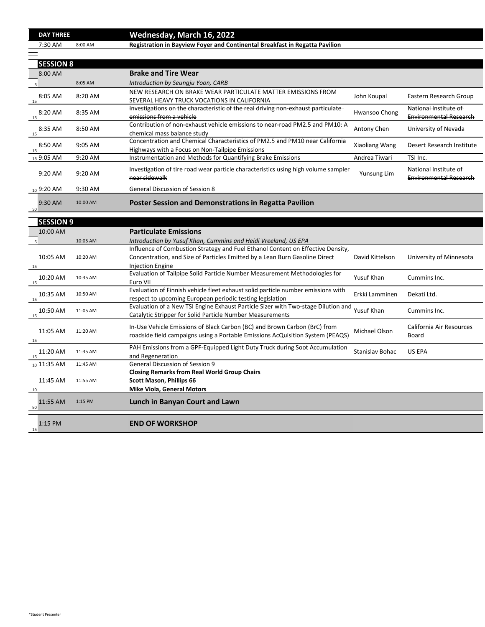|          | 10:05 AM | Introduction by Yusuf Khan, Cummins and Heidi Vreeland, US EPA                    |                   |                                 |
|----------|----------|-----------------------------------------------------------------------------------|-------------------|---------------------------------|
|          |          | Influence of Combustion Strategy and Fuel Ethanol Content on Effective Density,   |                   |                                 |
| 10:05 AM | 10:20 AM | Concentration, and Size of Particles Emitted by a Lean Burn Gasoline Direct       | David Kittelson   | University of Minnesota         |
| 15       |          | <b>Injection Engine</b>                                                           |                   |                                 |
| 10:20 AM | 10:35 AM | Evaluation of Tailpipe Solid Particle Number Measurement Methodologies for        | <b>Yusuf Khan</b> | Cummins Inc.                    |
| 15       |          | Euro VII                                                                          |                   |                                 |
| 10:35 AM | 10:50 AM | Evaluation of Finnish vehicle fleet exhaust solid particle number emissions with  | Erkki Lamminen    | Dekati Ltd.                     |
| 15       |          | respect to upcoming European periodic testing legislation                         |                   |                                 |
| 10:50 AM | 11:05 AM | Evaluation of a New TSI Engine Exhaust Particle Sizer with Two-stage Dilution and | <b>Yusuf Khan</b> | Cummins Inc.                    |
| 15       |          | <b>Catalytic Stripper for Solid Particle Number Measurements</b>                  |                   |                                 |
| 11:05 AM |          | In-Use Vehicle Emissions of Black Carbon (BC) and Brown Carbon (BrC) from         |                   | <b>California Air Resources</b> |
|          | 11:20 AM | roadside field campaigns using a Portable Emissions AcQuisition System (PEAQS)    | Michael Olson     | <b>Board</b>                    |
|          |          |                                                                                   |                   |                                 |

|     | <b>DAY THREE</b> |           | <b>Wednesday, March 16, 2022</b>                                                    |                        |                               |
|-----|------------------|-----------|-------------------------------------------------------------------------------------|------------------------|-------------------------------|
|     | 7:30 AM          | 8:00 AM   | <b>Registration in Bayview Foyer and Continental Breakfast in Regatta Pavilion</b>  |                        |                               |
|     |                  |           |                                                                                     |                        |                               |
|     | <b>SESSION 8</b> |           |                                                                                     |                        |                               |
|     | 8:00 AM          |           | <b>Brake and Tire Wear</b>                                                          |                        |                               |
|     |                  | 8:05 AM   | Introduction by Seungju Yoon, CARB                                                  |                        |                               |
|     |                  |           | NEW RESEARCH ON BRAKE WEAR PARTICULATE MATTER EMISSIONS FROM                        |                        |                               |
| 15  | 8:05 AM          | 8:20 AM   | SEVERAL HEAVY TRUCK VOCATIONS IN CALIFORNIA                                         | John Koupal            | Eastern Research Group        |
|     |                  |           | Investigations on the characteristic of the real driving non-exhaust particulate    |                        | National Institute of         |
| 15  | 8:20 AM          | 8:35 AM   | emissions from a vehicle                                                            | Hwansoo Chong          | <b>Environmental Research</b> |
|     |                  |           | Contribution of non-exhaust vehicle emissions to near-road PM2.5 and PM10: A        |                        | University of Nevada          |
| 15  | 8:35 AM          | 8:50 AM   | chemical mass balance study                                                         | <b>Antony Chen</b>     |                               |
|     |                  |           | Concentration and Chemical Characteristics of PM2.5 and PM10 near California        | <b>Xiaoliang Wang</b>  | Desert Research Institute     |
| -15 | 8:50 AM          | 9:05 AM   | Highways with a Focus on Non-Tailpipe Emissions                                     |                        |                               |
|     | 15 9:05 AM       | $9:20$ AM | Instrumentation and Methods for Quantifying Brake Emissions                         | Andrea Tiwari          | TSI Inc.                      |
|     |                  |           | Investigation of tire road wear particle characteristics using high volume sampler- |                        | National Institute of         |
|     | $9:20$ AM        | 9:20 AM   | near sidewalk                                                                       | <del>Yunsung Lim</del> | <b>Environmental Research</b> |
|     |                  |           |                                                                                     |                        |                               |
|     | $109:20$ AM      | 9:30 AM   | <b>General Discussion of Session 8</b>                                              |                        |                               |
|     | $9:30$ AM        | 10:00 AM  | <b>Poster Session and Demonstrations in Regatta Pavilion</b>                        |                        |                               |
| 30  |                  |           |                                                                                     |                        |                               |
|     | <b>SESSION 9</b> |           |                                                                                     |                        |                               |
|     |                  |           |                                                                                     |                        |                               |
|     | 10:00 AM         |           | <b>Particulate Emissions</b>                                                        |                        |                               |
|     |                  | 10:05 AM  | Introduction by Yusuf Khan, Cummins and Heidi Vreeland, US EPA                      |                        |                               |
|     |                  |           | Influence of Combustion Strategy and Fuel Ethanol Content on Effective Density,     |                        |                               |
|     | 10:05 AM         | 10:20 AM  | Concentration, and Size of Particles Emitted by a Lean Burn Gasoline Direct         | David Kittelson        | University of Minnesota       |
| -15 |                  |           | <b>Injection Engine</b>                                                             |                        |                               |
|     |                  |           | Evaluation of Tailping Solid Particle Number Measurement Methodologies for          |                        |                               |

| 15                          |           | roadside field campaigns using a Portable Emissions AcQuisition System (PEAQS)                                              | .                      | <b>Board</b>  |
|-----------------------------|-----------|-----------------------------------------------------------------------------------------------------------------------------|------------------------|---------------|
| 11:20 AM<br>15              | 11:35 AM  | PAH Emissions from a GPF-Equipped Light Duty Truck during Soot Accumulation<br>and Regeneration                             | <b>Stanislay Bohac</b> | <b>US EPA</b> |
| $_{10}$ 11:35 AM            | 11:45 AM  | <b>General Discussion of Session 9</b>                                                                                      |                        |               |
| 11:45 AM<br>10              | 11:55 AM  | <b>Closing Remarks from Real World Group Chairs</b><br><b>Scott Mason, Phillips 66</b><br><b>Mike Viola, General Motors</b> |                        |               |
| 11:55 AM<br>80 <sup>°</sup> | $1:15$ PM | Lunch in Banyan Court and Lawn                                                                                              |                        |               |
| $1:15$ PM<br>15             |           | <b>END OF WORKSHOP</b>                                                                                                      |                        |               |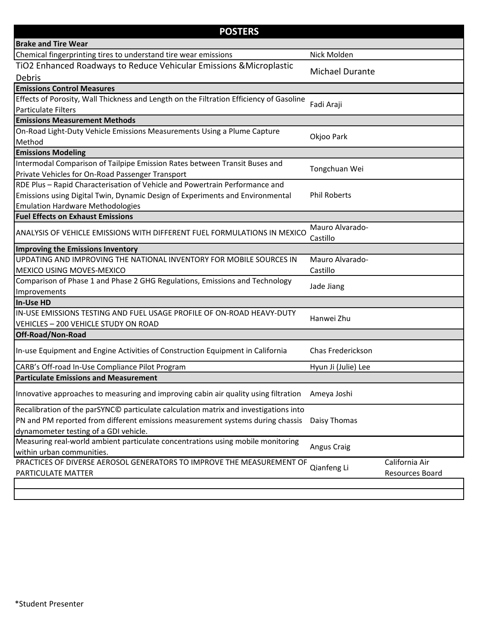| <b>POSTERS</b>                                                                                                        |                             |                        |
|-----------------------------------------------------------------------------------------------------------------------|-----------------------------|------------------------|
| <b>Brake and Tire Wear</b>                                                                                            |                             |                        |
| Chemical fingerprinting tires to understand tire wear emissions                                                       | Nick Molden                 |                        |
| TIO2 Enhanced Roadways to Reduce Vehicular Emissions & Microplastic                                                   | <b>Michael Durante</b>      |                        |
| <b>Debris</b>                                                                                                         |                             |                        |
| <b>Emissions Control Measures</b>                                                                                     |                             |                        |
| Effects of Porosity, Wall Thickness and Length on the Filtration Efficiency of Gasoline<br><b>Particulate Filters</b> | Fadi Araji                  |                        |
| <b>Emissions Measurement Methods</b>                                                                                  |                             |                        |
| On-Road Light-Duty Vehicle Emissions Measurements Using a Plume Capture                                               |                             |                        |
| Method                                                                                                                | Okjoo Park                  |                        |
| <b>Emissions Modeling</b>                                                                                             |                             |                        |
| Intermodal Comparison of Tailpipe Emission Rates between Transit Buses and                                            |                             |                        |
| Private Vehicles for On-Road Passenger Transport                                                                      | Tongchuan Wei               |                        |
| RDE Plus - Rapid Characterisation of Vehicle and Powertrain Performance and                                           |                             |                        |
| <b>Emissions using Digital Twin, Dynamic Design of Experiments and Environmental</b>                                  | <b>Phil Roberts</b>         |                        |
| <b>Emulation Hardware Methodologies</b>                                                                               |                             |                        |
| <b>Fuel Effects on Exhaust Emissions</b>                                                                              |                             |                        |
| ANALYSIS OF VEHICLE EMISSIONS WITH DIFFERENT FUEL FORMULATIONS IN MEXICO                                              | Mauro Alvarado-<br>Castillo |                        |
| <b>Improving the Emissions Inventory</b>                                                                              |                             |                        |
| UPDATING AND IMPROVING THE NATIONAL INVENTORY FOR MOBILE SOURCES IN                                                   | Mauro Alvarado-             |                        |
| <b>MEXICO USING MOVES-MEXICO</b>                                                                                      | Castillo                    |                        |
| Comparison of Phase 1 and Phase 2 GHG Regulations, Emissions and Technology                                           |                             |                        |
| Improvements                                                                                                          | Jade Jiang                  |                        |
| In-Use HD                                                                                                             |                             |                        |
| IN-USE EMISSIONS TESTING AND FUEL USAGE PROFILE OF ON-ROAD HEAVY-DUTY                                                 | Hanwei Zhu                  |                        |
| VEHICLES - 200 VEHICLE STUDY ON ROAD                                                                                  |                             |                        |
| Off-Road/Non-Road                                                                                                     |                             |                        |
| In-use Equipment and Engine Activities of Construction Equipment in California                                        | <b>Chas Frederickson</b>    |                        |
| CARB's Off-road In-Use Compliance Pilot Program                                                                       | Hyun Ji (Julie) Lee         |                        |
| <b>Particulate Emissions and Measurement</b>                                                                          |                             |                        |
| Innovative approaches to measuring and improving cabin air quality using filtration                                   | Ameya Joshi                 |                        |
| Recalibration of the parSYNC© particulate calculation matrix and investigations into                                  |                             |                        |
| PN and PM reported from different emissions measurement systems during chassis                                        | Daisy Thomas                |                        |
| dynamometer testing of a GDI vehicle.                                                                                 |                             |                        |
| Measuring real-world ambient particulate concentrations using mobile monitoring                                       | <b>Angus Craig</b>          |                        |
| within urban communities.                                                                                             |                             |                        |
| PRACTICES OF DIVERSE AEROSOL GENERATORS TO IMPROVE THE MEASUREMENT OF                                                 | Qianfeng Li                 | California Air         |
| PARTICULATE MATTER                                                                                                    |                             | <b>Resources Board</b> |

\*Student Presenter